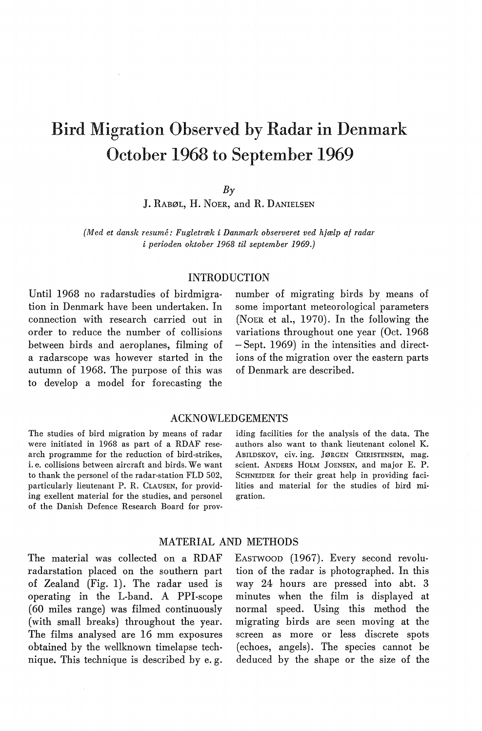# Bird Migration Observed by Radar in Denmark October 1968 to September 1969

#### $B_{\rm}\gamma$

J. RABØL, H. NoER, and R. DANIELSEN

*(Med et dansk resume: Fugletræk i Danmark observeret ved hjælp af radar i perioden oktober 1968 til september 1969.)* 

#### INTRODUCTION

Until 1968 no radarstudies of hirdmigration in Denmark have been undertaken. In connection with research carried out in order to reduce the number of collisions between hirds and aeroplanes, filming of a radarscope was however started in the autumn of 1968. The purpose of this was to develop a model for forecasting the

number of migrating hirds by means of some important meteorological parameters (NoER et al., 1970). In the following the variations throughout one year (Oct. 1968 - Sept. 1969) in the intensities and directions of the migration over the eastern parts of Denmark are described.

#### ACKNOWLEDGEMENTS

The studies of hird migration by means of radar were initiated in 1968 as part of a RDAF research programme for the reduction of bird-strikes, i. e. collisions between aircraft and birds. We want to thank the personel of the radar-station FLD 502, particularly lieutenant P. R. CLAUSEN, for providing exellent material for the studies, and personel of the Danish Defence Research Board for providing facilities for the analysis of the data. The authors also want to thank lieutenant colonel K. ABILDSKOV, civ. ing. JøRGEN CHRISTENSEN, mag. scient. ANDERS HOLM JOENSEN, and major E. P. ScHNEIDER for their great help in providing facilities and material for the studies of hird migration.

#### MATERIAL AND METHODS

The material was collected on a RDAF radarstation placed on the southern part of Zealand (Fig. 1). The radar used is operating in the L-band. A PPI-scope (60 miles range) was filmed continuously ( with small breaks) throughout the year. The films analysed are 16 mm exposures ohtained by the wellknown timelapse technique. This technique is descrihed by e. g. EASTWOOD (1967). Every second revolution of the radar is photographed. In this way 24 hours are pressed into abt. 3 minutes when the film is displayed at normal speed. Using this method the migrating hirds are seen moving at the screen as more or less discrete spots ( echoes, angels). The species cannot be deduced by the shape or the size of the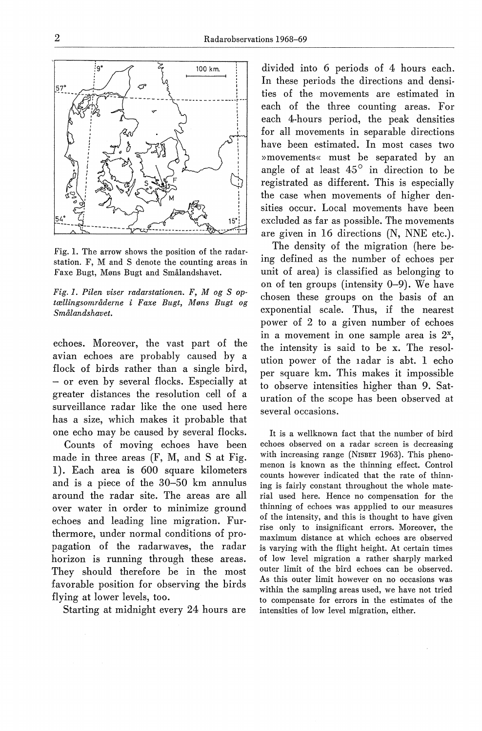

Fig. 1. The arrow shows the position of the radarstation. F, M and S denote the counting areas in Faxe Bugt, Møns Bugt and Smålandshavet.

*Fig. 1. Pilen viser radarstationen. F, M og S optællingsområdeme i Faxe Bugt, Møns Bugt og Smålandshavet.* 

echoes. Moreover, the vast part of the avian echoes are probahly caused by a flock of birds rather than a single bird, - or even by several flocks. Especially at greater distances the resolution ceH of a surveillance radar like the one used here has a size, which makes it prohahle that one echo may be caused by several flocks.

Counts of moving echoes have been made in three areas (F, M, and S at Fig. I). Each area 1s 600 square kilometers and is a piece of the 30-50 km annulus around the radar site. The areas are all over water in order to minimize ground echoes and leading line migration. Furthermore, under normal conditions of propagation of the radarwaves, the radar horizon is running through these areas. They should therefore be in the most favorable position for ohserving the hirds flying at lower levels, too.

Starting at midnight every 24 hours are

divided into 6 periods of 4 hours each. In these periods the directions and densities of the movements are estimated in each of the three counting areas. For each 4-hours period, the peak densities for all movements in separahle directions have been estimated. In most cases two »movements« must be separated by an angle of at least  $45^\circ$  in direction to be registrated as different. This is especially the case when movements of higher densities occur. Local movements have heen excluded as far as possible. The movements are given in 16 directions (N, NNE etc.).

The density of the migration (here heing defined as the number of echoes per unit of area) is classified as helonging to on of ten groups (intensity  $0-9$ ). We have chosen these groups on the basis of an exponential scale. Thus, if the nearest power of 2 to a given number of echoes in a movement in one sample area is  $2^x$ . the intensity is said to be x. The resolution power of the I adar is aht. I echo per square km. This makes it impossihle to observe intensities higher than 9. Saturation of the scope has been observed at several occasions.

It is a wellknown faet that the number of hird echoes observed on a radar screen is decreasing with increasing range (NISBET 1963). This phenomenon is known as the thinning effect. Control counts however indicated that the rate of thinning is fairly constant throughout the whole material used here. Hence no compensation for the thinning of echoes was appplied to our measures of the intensity, and this is thought to have given rise only to insignificant errors. Moreover, the maximum distance at which echoes are observed is varying with the flight height. At certain times of low level migration a rather sharply marked outer limit of the hird echoes can be observed. As this outer limit however on no occasions was within the sampling areas used, we have not tried to compensate for errors in the estimates of the intensities of low level migration, either.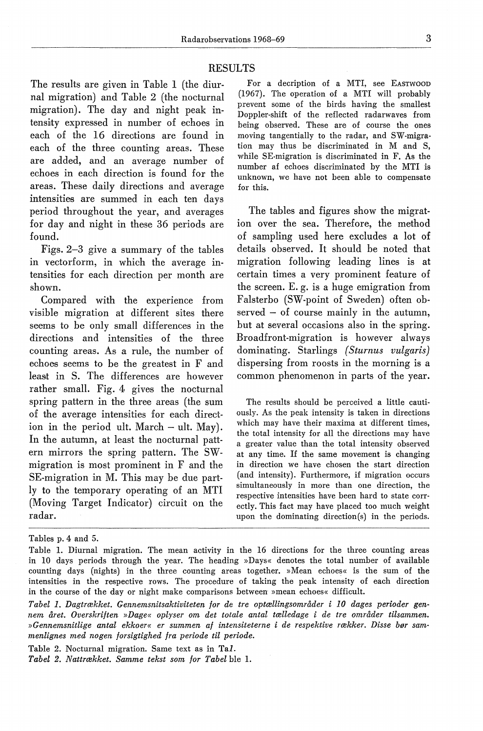#### RESULTS

The results are given in Table 1 (the diurnal migration) and Table 2 (the nocturnal migration). The day and night peak intensirty expressed in number of echoes in each of the 16 direotions are found in each of the three counting areas. These are added, and an average number of echoes in each direction is found for the areas. These daily directions and average intensities are summed in each ten days period throughout the year, and averages for day and night in these 36 periods are found.

Figs. 2-3 give a summary of the tables in vectorform, in which the average intensities for each direction per month are shown.

Compared with the experience from visible migration at different sites there seems to be only small differences in the directions and intensities of the three counting areas. As a rule, the number of echoes seems to be the greatest in F and least in S. The differences are however rather small. Fig. 4 gives the nocturnal spring pattern in the three areas (the sum of the average intensities for each direction in the period ult. March  $-$  ult. May). In the autumn, at least the nocturnal pattern mirrors the spring pattern. The SWmigration is most prominent in F and the SE-migration in M. This may be due partly to the temporary operating of an MTI (Moving Target Indicator) circuit on the radar.

For a decription of a MTI, see EASTWOOD (1967). The operation of a MTI will probably prevent some of the hirds having the smallest Doppler-shift of the reflected radarwaves from being observed. These are of course the ones moving tangentially to the radar, and SW-migration may thus be discriminated in M and S, while SE-migration is discriminated in F. As the number af echoes discriminated by the MTI is unknown, we have not been able to compensate for this.

The tables and figures show the migration over the sea. Therefore, the method of sampling used here excludes a lot of details observed. It should be noted that migration following leading lines is at certain times a very prominent feature of the screen. E. g. is a huge emigration from Falsterbo (SW-point of Sweden) often observed - of course mainly in the autumn, but at several occasions also in the spring. Broadfront-migration is however always dominating. Starlings *(Sturnus vulgaris)*  dispersing from roosts in the morning is a common phenomenon in parts of the year.

The results should be perceived a little cautiously. As the peak intensity is taken in directions which may have their maxima at different times, the total intensity for all the directions may have a greater value than the total intensity observed at any time. If the same movement is changing in direction we have chosen the start direction (and intensity). Furthermore, if migration occurs simultaneously in more than one direction, the respective intensities have been hard to state correctly. This faet may have placed too much weight upon the dominating direction(s) in the periods.

Table 2. Nocturnal migration. Same text as in Tal. *Tabel 2. Nattrækket. Samme tekst som for Tabel* ble 1.

Tables p. 4 and 5.

Table 1. Diurnal migration. The mean activity in the 16 directions for the three counting areas in 10 days periods through the year. The heading »Days« denotes the total number of available counting days (nights) in the three counting areas together. »Mean echoes« is the sum of the intensities in the respective rows. The procedure of taking the peak intensity of each direction in the course of the day or night make comparisons between »mean echoes« difficult.

*Tabel 1. Dagtrækket. Gennemsnitsaktiviteten for de tre optællingsområder i 10 dages perioder gennem året. Overskriften »Dage« oplyser om det totale antal tælledage i de tre områder tilsammen. »Gennemsnitlige antal ekkoer« er summen af intensiteterne i de respektive rækker. Disse bør sammenlignes med nogen forsigtighed fra periode til periode.*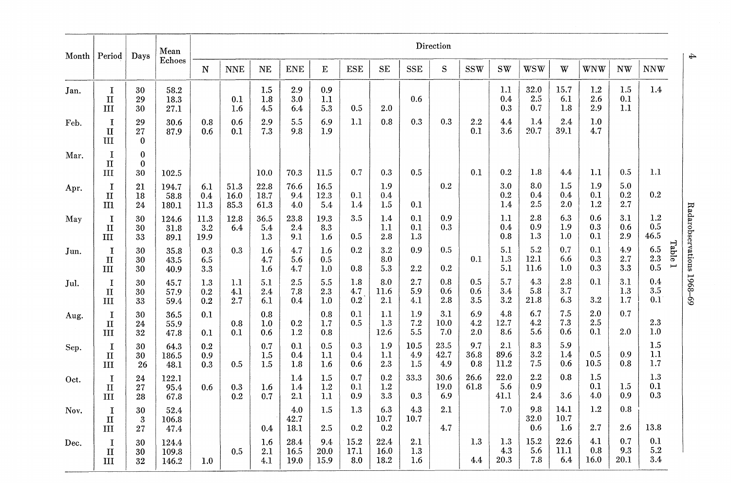|      | Month   Period                     | Days                       | Mean<br>Echoes          | Direction           |                      |                       |                      |                       |                     |                      |                    |                     |                    |                     |                     |                     |                       |                    |                                  |
|------|------------------------------------|----------------------------|-------------------------|---------------------|----------------------|-----------------------|----------------------|-----------------------|---------------------|----------------------|--------------------|---------------------|--------------------|---------------------|---------------------|---------------------|-----------------------|--------------------|----------------------------------|
|      |                                    |                            |                         | N                   | <b>NNE</b>           | $\rm{NE}$             | <b>ENE</b>           | $\mathbf E$           | <b>ESE</b>          | <b>SE</b>            | ${\rm SSE}$        | S                   | <b>SSW</b>         | <b>SW</b>           | <b>WSW</b>          | W                   | WNW                   | NW                 | <b>NNW</b>                       |
| Jan. | $\bf{I}$<br>$\mathbf{I}$<br>Ш      | 30<br>29<br>30             | 58.2<br>18.3<br>27.1    |                     | 0.1<br>1.6           | 1.5<br>1.8<br>4.5     | 2.9<br>3.0<br>6.4    | 0.9<br>1.1<br>5.3     | 0.5                 | 2.0                  | 0.6                |                     |                    | 1.1<br>0.4<br>0.3   | 32.0<br>2.5<br>0.7  | 15.7<br>6.1<br>1.8  | $1.2\,$<br>2.6<br>2.9 | 1.5<br>0.1<br>1.1  | 1.4                              |
| Feb. | I<br>$\mathbf{I}$<br>III           | 29<br>27<br>$\mathbf 0$    | 30.6<br>87.9            | 0.8<br>0.6          | 0.6<br>0.1           | 2.9<br>7.3            | 5.5<br>9.8           | 6.9<br>1.9            | 1.1                 | 0.8                  | 0.3                | 0.3                 | $2.2\,$<br>0.1     | 4.4<br>3.6          | 1.4<br>20.7         | 2.4<br>39.1         | 1.0<br>4.7            |                    |                                  |
| Mar. | I<br>$\mathbf{I}$<br>III           | $\bf{0}$<br>$\bf{0}$<br>30 | 102.5                   |                     |                      | 10.0                  | 70.3                 | 11.5                  | 0.7                 | 0.3                  | 0.5                |                     | 0.1                | 0.2                 | 1.8                 | 4.4                 | 1.1                   | 0.5                | 1.1                              |
| Apr. | 1<br>$\mathbf{I}$<br>$\mathbf{m}$  | 21<br>18<br>24             | 194.7<br>58.8<br>180.1  | 6.1<br>0.4<br>11.3  | 51.3<br>16.0<br>85.3 | 22.8<br>18.7<br>61.3  | 76.6<br>9.4<br>4.0   | 16.5<br>12.3<br>5.4   | 0.1<br>1.4          | 1.9<br>0.4<br>1.5    | 0.1                | 0.2                 |                    | 3.0<br>0.2<br>1.4   | 8.0<br>0.4<br>2.5   | 1.5<br>0.4<br>2.0   | 1.9<br>0.1<br>1.2     | 5.0<br>0.2<br>2.7  | 0.2                              |
| May  | 1<br>$\mathbf{I}$<br>Ш             | 30<br>30<br>33             | 124.6<br>31.8<br>89.1   | 11.3<br>3.2<br>19.9 | 12.8<br>6.4          | 36.5<br>5.4<br>1.3    | 23.8<br>2.4<br>9.1   | 19.3<br>8.3<br>1.6    | 3.5<br>0.5          | 1.4<br>1.1<br>2.8    | 0.1<br>0.1<br>1.3  | 0.9<br>0.3          |                    | 1.1<br>0.4<br>0.8   | 2.8<br>0.9<br>1.3   | 6.3<br>1.9<br>1.0   | 0.6<br>0.3<br>0.1     | 3.1<br>0.6<br>2.9  | $1.2\,$<br>$0.5\,$<br>46.5       |
| Jun. | I<br>$\mathbf{I}$<br>III           | 30<br>30<br>30             | 35.8<br>43.5<br>40.9    | 0.3<br>6.5<br>3.3   | 0.3                  | $1.6\,$<br>4.7<br>1.6 | 4.7<br>5.6<br>4.7    | 1.6<br>0.5<br>1.0     | 0.2<br>0.8          | 3.2<br>8.0<br>5.3    | 0.9<br>2.2         | 0.5<br>0.2          | 0.1                | 5.1<br>1.3<br>5.1   | 5.2<br>12.1<br>11.6 | 0.7<br>6.6<br>1.0   | 0.1<br>0.3<br>0.3     | 4.9<br>2.7<br>3.3  | Table 1<br>6.5<br>$2.3\,$<br>0.5 |
| Jul. | $\mathbf I$<br>$\mathbf{I}$<br>III | 30<br>30<br>33             | 45.7<br>57.9<br>59.4    | 1.3<br>0.2<br>0.2   | 1.1<br>4.1<br>2.7    | 5.1<br>2.4<br>6.1     | 2.5<br>7.8<br>0.4    | $5.5\,$<br>2.3<br>1.0 | 1.8<br>4.7<br>0.2   | 8.0<br>11.6<br>2.1   | 2.7<br>5.9<br>4.1  | 0.8<br>0.6<br>2.8   | 0.5<br>0.6<br>3.5  | 5.7<br>3.4<br>3.2   | 4.3<br>5.8<br>21.8  | 2.8<br>3.7<br>6.3   | 0.1<br>3.2            | 3.1<br>1.3<br>1.7  | 0.4<br>3.5<br>0.1                |
| Aug. | I<br>$\mathbf{I}$<br>Ш             | 30<br>24<br>32             | 36.5<br>55.9<br>47.8    | 0.1<br>0.1          | 0.8<br>0.1           | 0.8<br>1.0<br>0.6     | 0.2<br>1.2           | 0.8<br>1.7<br>0.8     | 0.1<br>0.5          | 1.1<br>1.3<br>12.6   | 1.9<br>7.2<br>5.5  | 3.1<br>10.0<br>7.0  | 6.9<br>4.2<br>2.0  | 4.8<br>12.7<br>8.6  | 6.7<br>4.2<br>5.6   | 7.5<br>7.3<br>0.6   | 2.0<br>2.5<br>0.1     | 0.7<br>2.0         | 2.3<br>1.0                       |
| Sep. | $\mathbf I$<br>$\mathbf{I}$<br>III | 30<br>30<br>26             | 64.3<br>186.5<br>48.1   | 0.2<br>0.9<br>0.3   | 0.5                  | 0.7<br>1.5<br>1.5     | 0.1<br>0.4<br>1.8    | 0.5<br>1.1<br>1.6     | 0.3<br>0.4<br>0.6   | 1.9<br>1.1<br>2.3    | 10.5<br>4.9<br>1.5 | 23.5<br>42.7<br>4.9 | 9.7<br>36.8<br>0.8 | 2.1<br>89.6<br>11.2 | 8.3<br>3.2<br>7.5   | 5.9<br>1.4<br>0.6   | 0.5<br>10.5           | 0.9<br>0.8         | 1.5<br>1.1<br>1.7                |
| Oct. | I<br>$\mathbf{I}$<br>ш             | 24<br>27<br>28             | 122.1<br>95.4<br>67.8   | 0.6                 | 0.3<br>0.2           | 1.6<br>0.7            | 1.4<br>1.4<br>2.1    | 1.5<br>1.2<br>1.1     | 0.7<br>0.1<br>0.9   | 0.2<br>1.2<br>3.3    | 33.3<br>0.3        | 30.6<br>19.0<br>6.9 | 26.6<br>61.8       | 22.0<br>5.6<br>41.1 | 2.2<br>0.9<br>2.4   | 0.8<br>3.6          | 1.5<br>0.1<br>4.0     | 1.5<br>0.9         | 1.3<br>0.1<br>0.3                |
| Nov. | I<br>$\mathbf{I}$<br>Ш             | 30<br>3<br>27              | 52.4<br>106.8<br>47.4   |                     |                      | 0.4                   | 4.0<br>42.7<br>18.1  | 1.5<br>2.5            | 1.3<br>0.2          | 6.3<br>10.7<br>0.2   | 4.3<br>10.7        | 2.1<br>4.7          |                    | 7.0                 | 9.8<br>32.0<br>0.6  | 14.1<br>10.7<br>1.6 | 1.2<br>2.7            | 0.8<br>2.6         | 13.8                             |
| Dec. | I<br>$\mathbf{I}$<br>III           | 30<br>30<br>32             | 124.4<br>109.8<br>146.2 | 1.0                 | 0.5                  | 1.6<br>$2.1\,$<br>4.1 | 28.4<br>16.5<br>19.0 | 9.4<br>20.0<br>15.9   | 15.2<br>17.1<br>8.0 | 22.4<br>16.0<br>18.2 | 2.1<br>1.3<br>1.6  |                     | 1.3<br>4.4         | 1.3<br>4.3<br>20.3  | 15.2<br>5.6<br>7.8  | 22.6<br>11.1<br>6.4 | 4.1<br>0.8<br>16.0    | 0.7<br>9.3<br>20.1 | 0.1<br>5.2<br>3.4                |

Radarol  $^{\rm{stations\ 1968-69}}$ 

 $\overline{+}$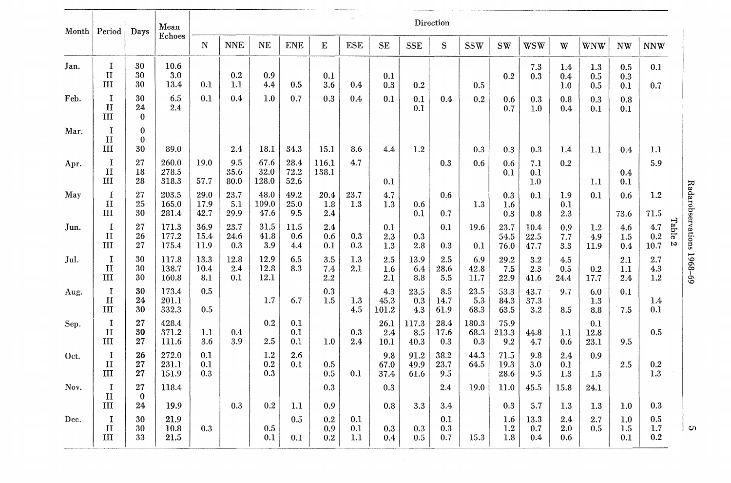|      | Month Period                       | Days                           | Mean<br>Echoes               | Direction            |                     |                          |                      |                                |                   |                      |                      |                          |                      |                              |                           |                              |                       |                          |                          |                           |
|------|------------------------------------|--------------------------------|------------------------------|----------------------|---------------------|--------------------------|----------------------|--------------------------------|-------------------|----------------------|----------------------|--------------------------|----------------------|------------------------------|---------------------------|------------------------------|-----------------------|--------------------------|--------------------------|---------------------------|
|      |                                    |                                |                              | N                    | <b>NNE</b>          | NE                       | <b>ENE</b>           | E                              | <b>ESE</b>        | <b>SE</b>            | <b>SSE</b>           | S                        | <b>SSW</b>           | <b>SW</b>                    | wsw                       | W                            | WNW                   | <b>NW</b>                | <b>NNW</b>               |                           |
| Jan. | I<br>$\mathbf{I}$<br>Ш             | 30<br>30<br>30                 | 10.6<br>3.0<br>13.4          | 0.1                  | $\rm 0.2$<br>1.1    | 0.9<br>4.4               | 0.5                  | 0.1<br>3.6                     | 0.4               | 0.1<br>0.3           | 0.2                  |                          | 0.5                  | 0.2                          | 7.3<br>0.3                | 1.4<br>0.4<br>1.0            | 1.3<br>$0.5\,$<br>0.5 | 0.5<br>0.3<br>0.1        | 0.1<br>0.7               |                           |
| Feb. | $\mathbf I$<br>$\mathbf{I}$<br>III | 30<br>24<br>$\bf{0}$           | 6.5<br>2.4                   | 0.1                  | 0.4                 | 1.0                      | 0.7                  | 0.3                            | 0.4 <sub>k</sub>  | 0.1                  | 0.1<br>0.1           | 0.4                      | 0.2                  | 0.6<br>0.7                   | 0.3<br>1.0                | 0.8<br>0.4                   | 0.3<br>0.1            | 0.8<br>0.1               |                          |                           |
| Mar. | $\mathbf I$<br>$\mathbf{H}$<br>Ш   | $\bf{0}$<br>$\mathbf{0}$<br>30 | 89.0                         |                      | 2.4                 | 18.1                     | 34.3                 | 15.1                           | 8.6               | 4.4                  | 1.2                  |                          | 0.3                  | 0.3                          | 0.3                       | 1.4                          | 1.1                   | 0.4                      | 1.1                      |                           |
| Apr. | $\mathbf I$<br>$\mathbf{I}$<br>III | 27<br>18<br>28                 | 260.0<br>278.5<br>318.3      | 19.0<br>57.7         | 9.5<br>35.6<br>80.0 | 67.6<br>32.0<br>128.0    | 28.4<br>72.2<br>52.6 | 116.1<br>138.1                 | 4.7               | 0.1                  |                      | 0.3                      | 0.6                  | 0.6<br>0.1                   | 7.1<br>0.1<br>1.0         | 0.2                          | 1.1                   | 0.4<br>0.1               | 5.9                      |                           |
| May  | 1<br>$\mathbf{I}$<br>$_{\rm III}$  | 27<br>25<br>30                 | 203.5<br>165.0<br>281.4      | 29.0<br>17.9<br>42.7 | 23.7<br>5.1<br>29.9 | 48.0<br>109.0<br>47.6    | 49.2<br>25.0<br>9.5  | 20.4<br>1.8<br>2.4             | $23.7\,$<br>1.3   | 4.7<br>1.3           | 0.6<br>0.1           | 0.6<br>0.7               | 1.3                  | 0.3<br>1.6<br>0.3            | 0.1<br>0.8                | 1.9<br>0.1<br>2.3            | 0.1                   | 0.6<br>73.6              | 1.2<br>71.5              |                           |
| Jun. | $\mathbf I$<br>II<br>Ш             | 27<br>26<br>27                 | 171.3<br>177.2<br>175.4      | 36.9<br>15.4<br>11.9 | 23.7<br>24.6<br>0.3 | 31.5<br>41.8<br>3.9      | 11.5<br>0.6<br>4.4   | 2.4<br>0.6<br>0.1              | 0.3<br>0.3        | 0.1<br>2.3<br>1.3    | 0.3<br>2.8           | 0.1<br>0.3               | 19.6<br>0.1          | 23.7<br>54.5<br>76.0         | 10.4<br>22.5<br>47.7      | 0.9<br>7.7<br>3.3            | 1.2<br>4.9<br>11.9    | 4.6<br>1.5<br>0.4        | 4.7<br>0.2<br>$10.7\,$   | Table<br>$\mathbf{c}$     |
| Jul. | I<br>п<br>III                      | 30<br>30<br>30                 | 117.8<br>138.7<br>160.8      | 13.3<br>10.4<br>8.1  | 12.8<br>2.4<br>0.1  | 12.9<br>12.8<br>$12.1\,$ | 6.5<br>8.3           | 3.5<br>7.4<br>2.2              | 1.3<br>2.1        | 2.5<br>1.6<br>2.1    | 13.9<br>6.4<br>8.8   | 2.5<br>28.6<br>5.5       | 6.9<br>42.8<br>11.7  | 29.2<br>7.5<br>22.9          | 3.2<br>2.3<br>41.6        | 4.5<br>0.5<br>24.4           | 0.2<br>17.7           | 2.1<br>1.1<br>2.4        | $2.7\,$<br>4.3<br>1.2    | Radarobservations 1968-69 |
| Aug. | 1<br>$\mathbf{I}$<br>III           | 30<br>24<br>30                 | 173.4<br>201.1<br>332.3      | 0.5<br>0.5           |                     | 1.7                      | 6.7                  | 0.3<br>1.5                     | 1.3<br>4.5        | 4.3<br>45.3<br>101.2 | 23.5<br>0.3<br>4.3   | 8.5<br>14.7<br>61.9      | 23.5<br>5.3<br>68.3  | 53.3<br>84.3<br>63.5         | 43.7<br>37.3<br>3.2       | 9.7<br>8.5                   | 6.0<br>1.3<br>8.8     | 0.1<br>7.5               | 1.4<br>0.1               |                           |
| Sep. | I<br>$\mathbf{H}$<br>ш             | 27<br>30<br>27                 | 428.4<br>371.2<br>111.6      | 1.1<br>3.6           | 0.4<br>3.9          | 0.2<br>2.5               | 0.1<br>0.1<br>0.1    | 1.0                            | 0.3<br>2.4        | 26.1<br>2.4<br>10.1  | 117.3<br>8.5<br>40.3 | 28.4<br>17.6<br>0.3      | 180.3<br>68.3<br>0.3 | 75.9<br>213.3<br>9.2         | 44.8<br>4.7               | 1.1<br>0.6                   | 0.1<br>12.8<br>23.1   | 9.5                      | 0.5                      |                           |
| Oct. | $\bf{I}$<br>$\mathbf{I}$<br>Ш      | 26<br>27<br>27                 | 272.0<br>231.1<br>151.9      | 0.1<br>0.1<br>0.3    |                     | 1.2<br>$\rm 0.2$<br>0.3  | 2.6<br>0.1           | 0.5<br>0.5                     | 0.1               | 9.8<br>67.0<br>37.4  | 91.2<br>49.9<br>61.6 | 38.2<br>23.7<br>9.5      | 44.3<br>64.5         | 71.5<br>19.3<br>28.6         | 9.8<br>3.0<br>9.5         | 2.4<br>0.1<br>1.3            | 0.9<br>1.5            | 2.5                      | $\rm 0.2$<br>1.3         |                           |
| Nov. | I<br>$\Pi$                         | 27<br>$\bf{0}$                 | 118.4                        |                      |                     |                          |                      | $\rm 0.3$                      |                   | 0.3                  |                      | 2.4                      | 19.0                 | 11.0                         | 45.5                      | 15.8                         | 24.1                  |                          |                          |                           |
| Dec. | III<br>I<br>$\mathbf{I}$<br>ш      | 24<br>30<br>30<br>33           | 19.9<br>21.9<br>10.8<br>21.5 | 0.3                  | 0.3                 | 0.2<br>$\rm 0.5$<br>0.1  | 1.1<br>0.5<br>0.1    | 0.9<br>$\rm 0.2$<br>0.9<br>0.2 | 0.1<br>0.1<br>1.1 | 0.8<br>0.3<br>0.4    | 3.3<br>0.3<br>0.5    | 3.4<br>0.1<br>0.3<br>0.7 | 15.3                 | 0.3<br>1.6<br>$1.2\,$<br>1.8 | 5.7<br>13.3<br>0.7<br>0.4 | 1.3<br>2.4<br>$2.0\,$<br>0.6 | 1.3<br>2.7<br>0.5     | 1.0<br>1.0<br>1.5<br>0.1 | 0.3<br>0.5<br>1.7<br>0.2 | Cл                        |

Ul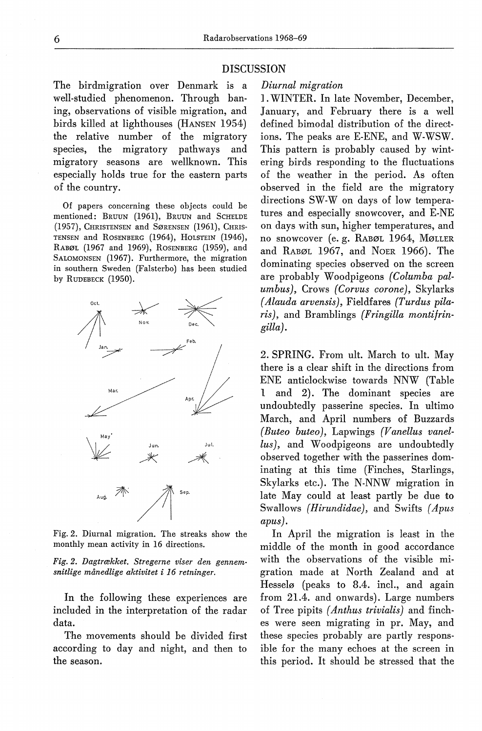The hirdmigration over Denmark is a well-studied phenomenon. Through baning, observations of visible migration, and hirds killed at lighthouses (HANSEN 1954) the relative number of the migratory species, the migratory pathways and migratory seasons are wellknown. This especially holds true for the eastern parts of the country.

Of papers concerning these objects could be mentioned: BRUUN (1961), BRUUN and SCHELDE (1957), CHRISTENSEN and SØRENSEN (1961), CHRIS-TENSEN and ROSENBERG (1964), HOLSTEIN (1946), RABØL (1967 and 1969), RosENBERG (1959), and SAtoMONSEN (1967). Furthermore, the migration in southern Sweden (Falsterbo) has been studied by RUDEBECK (1950).



Fig. 2. Diurnal migration. The streaks show the monthly mean activity in 16 directions.

*Fig. 2. Dagtrækket. Stregerne viser den gennemsnitlige månedlige aktivitet i 16 retninger.* 

In the following these experiences are included in the interpretation of the radar data.

The movements should be divided first according to day and night, and then to the season.

### *Diurnal migration*

] . WINTER. In late November, December, January, and February there is a well defined bimodal distribution of the directions. The peaks are E-ENE, and W-WSW. This pattern is probably caused by wintering hirds responding to the fluctuations of the weather in the period. As often observed in the field are the migratory directions SW-W on days of low temperatures and especially snowcover, and E-NE on days with sun, higher temperatures, and no snowcover (e. g. RABØL 1964, MØLLER and RABØL 1967, and NoER 1966). The dominating species observed on the screen are prohably Woodpigeons *(Columba palumbus),* Crows *(Corvus corone),* Skylarks *( Alauda arvensis),* Fieldfares *(Turdus pilaris),* and Bramblings *(Fringilla montifringilla).* 

2. SPRING. From ult. March to ult. May there is a clear shift in the directions from ENE anticlockwise towards NNW (Table l and 2). The dominant species are undoubtedly passerine species. In ultimo March, and April numbers of Buzzards *( Buteo buteo),* Lapwings *(V anellus vanel*lus), and Woodpigeons are undoubtedly observed together with the passerines dominating at this time (Finches, Starlings, Skylarks etc.). The N-NNW migration in late May could at least partly be due to Swallows *(Hirundidae),* and Swifts *(Apus apus).* 

In April the migration is least in the middle of the month in good accordance with the observations of the visible migration made at North Zealand and at Hesselø (peaks to 8.4. incl., and again from 21.4. and onwards). Large numbers of Tree pipits *( Anthus trivialis)* and finches were seen migrating in pr. May, and these species probably are partly responsible for the many echoes at the screen in this period. It should be stressed that the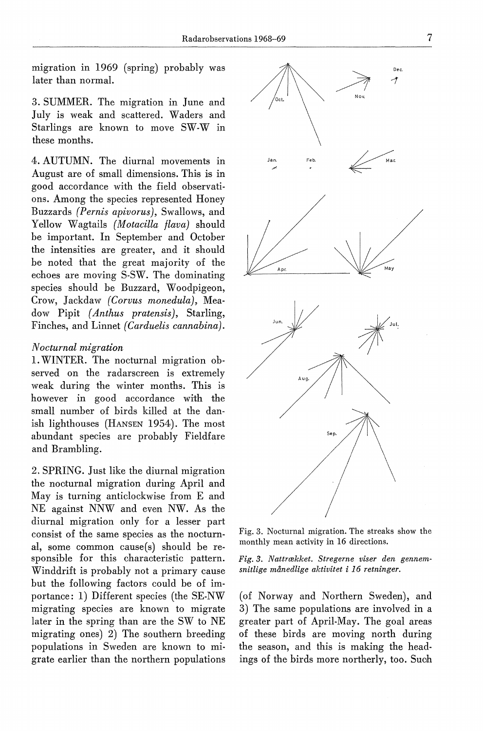migration in 1969 (spring) probably was later than normal.

3. SUMMER. The migration in June and July is weak and scattered. Waders and Starlings are known to move SW-W in these months.

4. AUTUMN. The diurnal movements in August are of small dimensions. This is in good accordance with the field observations. Among the species represented Honey Buzzards *(Pernis apivorus),* Swallows, and Yellow Wagtails *(Motacilla flava)* should be important. In September and October the intensities are greater, and it should be noted that the great majority of the echoes are moving S-SW. The dominating species should be Buzzard, Woodpigeon, Crow, Jackdaw *(Corvus monedula),* Meadow Pipit (Anthus pratensis), Starling, Finches, and Linnet *(Carduelis cannabina).* 

## *N octurnal migration*

1. WINTER. The nocturnal migration observed on the radarscreen is extremely weak during the winter months. This is however in good accordance with the small number of hirds killed at the danish lighthouses (HANSEN 1954). The most abundant species are probably Fieldfare and Brambling.

2. SPRING. Just like the diurnal migration the nooturnal migration during April and May is turning anticlockwise from E and NE against NNW and even NW. As the diurnal migration only for a lesser part consist of the same species as the noctumal, some common cause(s) should be responsihle for this charaoteristic pattern. Winddrift is probably not a primary cause but the following factors could be of importance: 1) Different species (the SE-NW migrating species are known to migrate later in the spring than are the SW to NE migrating ones) 2) The southern breeding populations in Sweden are known to migrate earlier than the northern populations



Fig. 3. Nocturnal migration. The streaks show the monthly mean activity in 16 directions.

*Fig. 3. Nattrækket. Stregerne viser den gennemsnitlige månedlige aktivitet* i *16 retninger.* 

(of Norway and Northern Sweden), and 3) The same populations are involved in a greater part of April-May. The goal areas of these hirds are moving north during the season, and this is making the headings of the birds more northerly, too. Such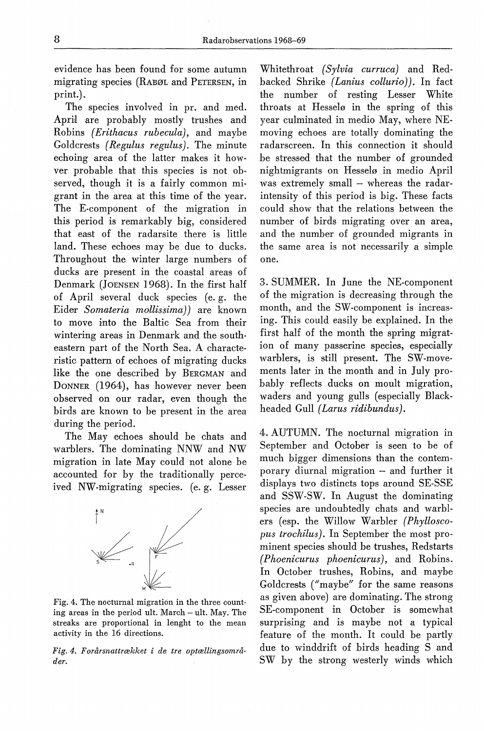evidence has been found for some autumn migrating species (RABØL and PETERSEN, in print.).

The species involved in pr. and med. April are probably mostly trushes and Robins *(Erithacus rubecula),* and maybe Goldcrests *( Regulus regulus).* The minute echoing area of the latter makes it howver probable that this species is not observed, though it is a fairly common migrant in the area at this time of the year. The E-component of the migration in this period is remarkably hig, considered that east of the radarsite there is little land. These echoes may be due to ducks. Throughout the winter large numbers of ducks are present in the coastal areas of Denmark (JoENSEN 1968). In the first half of April several duck species (e. g. the Eider *Somateria mollissima))* are known to move into the Baltic Sea from their wintering areas in Denmark and the southeastern part of the North Sea. A characteristic pattern of echoes of migrating ducks like the one described by BERGMAN and DoNNER (1964), has however never been ohserved on our radar, even though the hirds are known to be present in the area during the period.

The May echoes should be chats and warblers. The dominating NNW and NW migration in late May could not alone he accounted for by the traditionally perceived NW-migrating species. (e.g. Lesser



Fig. 4. The nocturnal migration in the three counting areas in the period ult. March - ult. May. The streaks are proportional in lenght to the mean activity in the 16 directions.

*Fig. 4. Forårsnattrækket* i *de tre optællingsområder.* 

Whitethroat *(Sylvia curruca)* and Redbacked Shrike *( Lanius collurio)).* In faet the numher of resting Lesser White throats at Hesselø in the spring of this year culminated in medio May, where NEmoving echoes are totally dominating the radarscreen. In this connection it should be stressed that the numher of grounded nightmigrants on Hesselø in medio April was extremely small - whereas the radarintensity of this period is hig. These facts could show that the relations between the number of hirds migrating over an area, and the number of grounded migrants in the same area is not necessarily a simple one.

3. SUMMER. In June the NE-component of the migration is decreasing through the month, and the SW-component is increasing. This could easily be explained. In the first half of the month the spring migration of many passerine species, especially warblers, is still present. The SW-movements later in the month and in July probably reflects ducks on moult migration, waders and young gulls (especially Blackheaded Gull *(Larus ridibundus)*.

4. AUTUMN. The nocturnal migration in September and October is seen to be of much bigger dimensions than the contemporary diurnal migration - and further it displays two distincts tops around SE-SSE and SSW-SW. In August the dominating species are undoubtedly chats and warblers (esp. the Willow Warbler *(Phylloscopus trochilus).* In September the most prominent species should be trushes, Redstarts *(Phoenicurus phoenicurus),* and Robins. In October trushes, Robins, and maybe Goldcrests ("maybe" for the same reasons as given above) are dominating. The strong SE-component in October is somewhat surprising and is mayhe not a typical feature of the month. It could be partly due to winddrift of hirds heading S and SW by the strong westerly winds which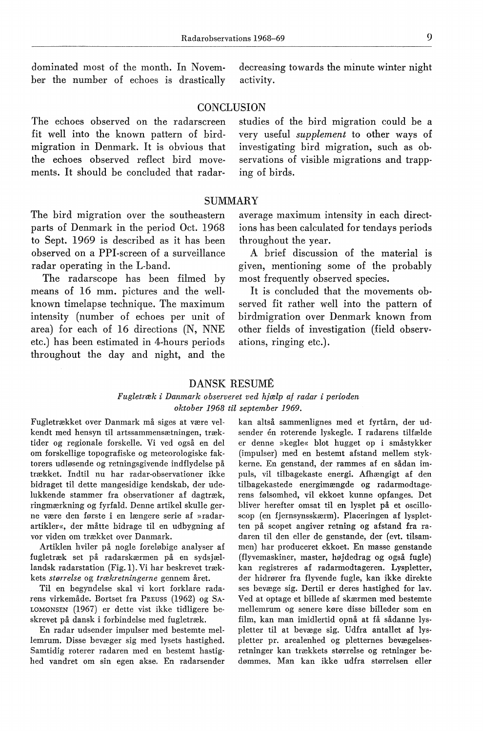dominated most of the month. In November the numher of echoes is drastically decreasing towards the minute winter night activity.

## **CONCLUSION**

The echoes ohserved on the radarscreen fit well into the known pattern of hirdmigration in Denmark. It is ohvious that the echoes ohserved reflect hird movements. It should he concluded that radarstudies of the hird migration could be a very useful *supplement* to other ways of investigating hird migration, such as observations of visible migrations and trapp· ing of hirds.

## SUMMARY

The hird migration over the southeastern parts of Denmark in the period Oct. 1968 to Sept. 1969 is described as it has heen observed on a PPI-screen of a surveillance radar operating in the L-band.

The radarscope has been filmed by means of 16 mm. pictures and the wellknown timelapse technique. The maximum intensity (numher of echoes per unit of area) for each of 16 directions (N, NNE etc.) has been estimated in 4-hours periods throughout the day and night, and the average maximum intensity in each directions has heen calculated for tendays periods throughout the year.

A brief discussion of the material is given, mentioning some of the probably most frequently ohserved species.

It is concluded that the movements ohserved fit rather well into the pattern of hirdmigration over Denmark known from other fields of investigation (field observations, ringing etc.).

## DANSK RESUME

#### *Fugletræk i Danmark observeret ved hjælp af radar i perioden oktober 1968 til september 1969.*

Fugletrækket over Danmark må siges at være velkendt med hensyn til artssammensætningen, træktider og regionale forskelle. Vi ved også en del om forskellige topografiske og meteorologiske faktorers udløsende og retningsgivende indflydelse på trækket. Indtil nu har radar-observationer ikke bidraget til dette mangesidige kendskab, der ude· lukkende stammer fra observationer af dagtræk, ringmærkning og fyrfald. Denne artikel skulle gerne være den første i en længere serie af »radarartikler«, der måtte bidrage til en udbygning af vor viden om trækket over Danmark.

Artiklen hviler på nogle foreløbige analyser af fugletræk set på radarskærmen på en sydsjæl· landsk radarstation (Fig. l). Vi har beskrevet trækkets *størrelse* og *trækretningerne* gennem året.

Til en begyndelse skal vi kort forklare radarens virkemåde. Bortset fra PREUSS (1962) og SA-LOMONSEN (1967) er dette vist ikke tidligere beskrevet på dansk i forbindelse med fugletræk.

En radar udsender impulser med bestemte mellemrum. Disse bevæger sig med lysets hastighed. Samtidig roterer radaren med en bestemt hastig· hed vandret om sin egen akse. En radarsender

kan altså sammenlignes med et fyrtårn, der udsender én roterende lyskegle. I radarens tilfælde er denne »kegle« blot hugget op i småstykker (impulser) med en bestemt afstand mellem stykkerne. En genstand, der rammes af en sådan im· puls, vil tilbagekaste energi. Afhængigt af den tilbagekastede energimængde og radarmodtagerens følsomhed, vil ekkoet kunne opfanges. Det bliver herefter omsat til en lysplet på et oscilloscop (en fjernsynsskærm). Placeringen af lysplet· ten på scopet angiver retning og afstand fra radaren til den eller de genstande, der (evt. tilsammen) har produceret ekkoet. En masse genstande (flyvemaskiner, master, højdedrag og også fugle) kan registreres af radarmodtageren. Lyspletter, der hidrører fra flyvende fugle, kan ikke direkte ses bevæge sig. Dertil er deres hastighed for lav. Ved at optage et billede af skærmen med bestemte mellemrum og senere køre disse billeder som en film, kan man imidlertid opnå at få sådanne lys· pletter til at bevæge sig. Udfra antallet af lyspletter pr. arealenhed og pletternes bevægelsesretninger kan trækkets størrelse og retninger bedømmes. Man kan ikke udfra størrelsen eller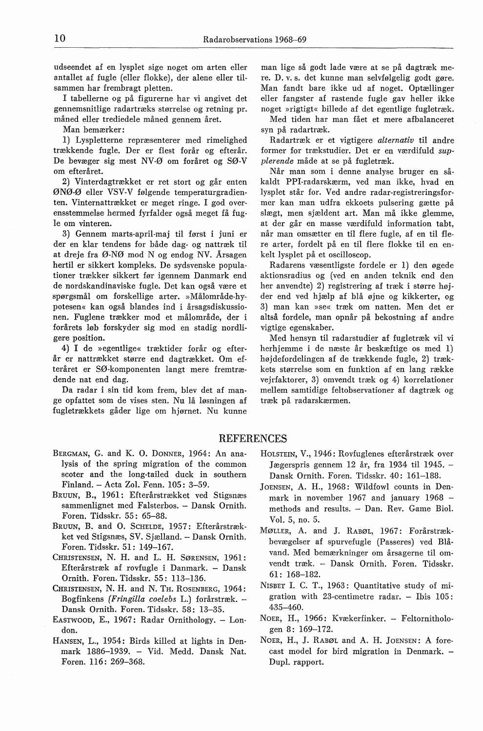udseendet af en lysplet sige noget om arten eller antallet af fugle (eller flokke), der alene eller tilsammen har frembragt pletten.

I tabellerne og på figurerne har vi angivet det gennemsnitlige radartræks størrelse og retning pr. måned eller trediedele måned gennem året.

Man bemærker:

1) Lyspletterne repræsenterer med rimelighed trækkende fugle. Der er flest forår og efterår. De bevæger sig mest NV-Ø om foråret og SØ-V om efteråret.

2) Vinterdagtrækket er ret stort og går enten ØNØ-Ø eller VSV-V følgende temperaturgradienten. Vinternattrækket er meget ringe. I god overensstemmelse hermed fyrfalder også meget få fugle om vinteren.

3) Gennem marts-april-maj til først i juni er der en klar tendens for både dag- og nattræk til at dreje fra Ø-NØ mod N og endog NV. Årsagen hertil er sikkert kompleks. De sydsvenske populationer trækker sikkert før igennem Danmark end de nordskandinaviske fugle. Det kan også være et spørgsmål om forskellige arter. »Målområde-hypotesen« kan også blandes ind i årsagsdiskussionen. Fuglene trækker mod et målområde, der i forårets løb forskyder sig mod en stadig nordligere position.

4) I de »egentlige« træktider forår og efterår er nattrækket større end dagtrækket. Om efteråret er SØ-komponenten langt mere fremtrædende nat end dag.

Da radar i sin tid kom frem, blev det af mange opfattet som de vises sten. Nu lå løsningen af fugletrækkets gåder lige om hjørnet. Nu kunne man lige så godt lade være at se på dagtræk mere. D. v. s. det kunne man selvfølgelig godt gøre. Man fandt bare ikke ud af noget. Optællinger eller fangster af rastende fugle gav heller ikke noget »rigtigt« billede af det egentlige fugletræk.

Med tiden har man fået et mere afbalanceret syn på radartræk.

Radartræk er et vigtigere *alternativ* til andre former for trækstudier. Det er en værdifuld *supplerende* måde at se på fugletræk.

Når man som i denne analyse bruger en såkaldt PPI-radarskærm, ved man ikke, hvad en lysplet står for. Ved andre radar-registreringsformer kan man udfra ekkoets pulsering gætte på slægt, men sjældent art. Man må ikke glemme, at der går en masse værdifuld information tabt, når man omsætter en til flere fugle, af en til flere arter, fordelt på en til flere flokke til en enkelt lysplet på et oscilloscop.

Radarens væsentligste fordele er 1) den øgede aktionsradius og (ved en anden teknik end den her anvendte) 2) registrering af træk i større højder end ved hjælp af blå øjne og kikkerter, og 3) man kan »Se« træk om natten. Men det er altså fordele, man opnår på bekostning af andre vigtige egenskaber.

Med hensyn til radarstudier af fugletræk vil vi herhjemme i de næste år beskæftige os med 1) højdefordelingen af de trækkende fugle, 2) trækkets størrelse som en funktion af en lang række vejrfaktorer, 3) omvendt træk og 4) korrelationer mellem samtidige feltobservationer af dagtræk og træk på radarskærmen.

#### REFERENCES

- BERGMAN, G. and K. 0. DoNNER, 1964: An analysis of the spring migration of the common scoter and the long-tailed duck in southern Finland. - Acta Zol. Fenn. 105: 3-59.
- BRUUN, B., 1961: Efterårstrækket ved Stigsnæs sammenlignet med Falsterbos. - Dansk Ornith. Foren. Tidsskr. 55: 65-88.
- BRUUN, B. and 0. SCHELDE, 1957: Efterårstrækket ved Stigsnæs, SV. Sjælland. - Dansk Ornith. Foren. Tidsskr. 51: 149-167.
- CHRISTENSEN, N. H. and L. H. SØRENSEN, 1961: Efterårstræk af rovfugle i Danmark. - Dansk Ornith. Foren. Tidsskr. 55: 113-136.
- CHRISTENSEN, N. H. and N. TH. RosENBERG, 1964: Bogfinkens *(Fringilla coelebs* L.) forårstræk. - Dansk Ornith. Foren. Tidsskr. 58: 13-35.
- EASTWOOD, E., 1967: Radar Ornithology. London.
- HANSEN, L., 1954: Birds killed at lights in Denmark 1886-1939. - Vid. Medd. Dansk Nat. Foren. 116: 269-368.
- HOLSTEIN, V., 1946: Rovfuglenes efterårstræk over Jægerspris gennem 12 år, fra 1934 til 1945. - Dansk Ornith. Foren. Tidsskr. 40: 161-188.
- JOENSEN, A. H., 1968: Wildfowl counts in Denmark in november 1967 and january 1968 methods and results. - Dan. Rev. Game Biol. Vol. 5, no. 5.
- MØLLER, A. and J. RABØL, 1967: Forårstrækbevægelser af spurvefugle (Passeres) ved Blåvand. Med bemærkninger om årsagerne til omvendt træk. - Dansk Ornith. Foren. Tidsskr. 61: 168-182.
- NISBET I. C. T., 1963: Quantitative study of migration with  $23$ -centimetre radar.  $-$  Ibis 105: 435-460.
- NOER, H., 1966: Kvækerfinker. Feltornithologen 8: 169-172.
- NOER, H., J. RABØL and A. H. JOENSEN: A forecast model for bird migration in Denmark. -Dupl. rapport.